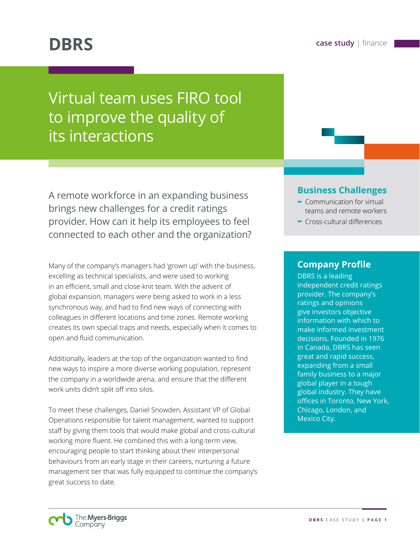# **DBRS case study** | finance

# Virtual team uses FIRO tool to improve the quality of its interactions

A remote workforce in an expanding business brings new challenges for a credit ratings provider. How can it help its employees to feel connected to each other and the organization?

Many of the company's managers had 'grown up' with the business, excelling as technical specialists, and were used to working in an efficient, small and close-knit team. With the advent of global expansion, managers were being asked to work in a less synchronous way, and had to find new ways of connecting with colleagues in different locations and time zones. Remote working creates its own special traps and needs, especially when it comes to open and fluid communication.

Additionally, leaders at the top of the organization wanted to find new ways to inspire a more diverse working population, represent the company in a worldwide arena, and ensure that the different work units didn't split off into silos.

To meet these challenges, Daniel Snowden, Assistant VP of Global Operations responsible for talent management, wanted to support staff by giving them tools that would make global and cross-cultural working more fluent. He combined this with a long-term view, encouraging people to start thinking about their interpersonal behaviours from an early stage in their careers, nurturing a future management tier that was fully equipped to continue the company's great success to date.

## **Business Challenges**

- **-** Communication for virtual teams and remote workers
- **-** Cross-cultural differences

## **Company Profile**

DBRS is a leading independent credit ratings provider. The company's ratings and opinions give investors objective information with which to make informed investment decisions. Founded in 1976 in Canada, DBRS has seen great and rapid success, expanding from a small family business to a major global player in a tough global industry. They have offices in Toronto, New York, Chicago, London, and Mexico City.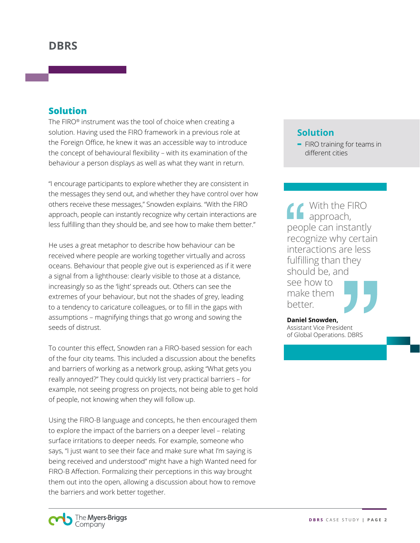### **Solution**

The FIRO® instrument was the tool of choice when creating a solution. Having used the FIRO framework in a previous role at the Foreign Office, he knew it was an accessible way to introduce the concept of behavioural flexibility – with its examination of the behaviour a person displays as well as what they want in return.

"I encourage participants to explore whether they are consistent in the messages they send out, and whether they have control over how others receive these messages," Snowden explains. "With the FIRO approach, people can instantly recognize why certain interactions are less fulfilling than they should be, and see how to make them better."

He uses a great metaphor to describe how behaviour can be received where people are working together virtually and across oceans. Behaviour that people give out is experienced as if it were a signal from a lighthouse: clearly visible to those at a distance, increasingly so as the 'light' spreads out. Others can see the extremes of your behaviour, but not the shades of grey, leading to a tendency to caricature colleagues, or to fill in the gaps with assumptions – magnifying things that go wrong and sowing the seeds of distrust.

To counter this effect, Snowden ran a FIRO-based session for each of the four city teams. This included a discussion about the benefits and barriers of working as a network group, asking "What gets you really annoyed?" They could quickly list very practical barriers – for example, not seeing progress on projects, not being able to get hold of people, not knowing when they will follow up.

Using the FIRO-B language and concepts, he then encouraged them to explore the impact of the barriers on a deeper level – relating surface irritations to deeper needs. For example, someone who says, "I just want to see their face and make sure what I'm saying is being received and understood" might have a high Wanted need for FIRO-B Affection. Formalizing their perceptions in this way brought them out into the open, allowing a discussion about how to remove the barriers and work better together.

# **Solution**



With the FIRO approach, people can instantly recognize why certain interactions are less fulfilling than they should be, and

see how to make them better.



**Daniel Snowden,** Assistant Vice President of Global Operations. DBRS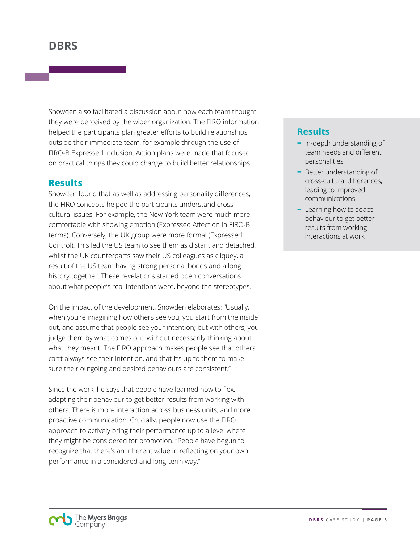# **DBRS**

Snowden also facilitated a discussion about how each team thought they were perceived by the wider organization. The FIRO information helped the participants plan greater efforts to build relationships outside their immediate team, for example through the use of FIRO-B Expressed Inclusion. Action plans were made that focused on practical things they could change to build better relationships.

#### **Results**

Snowden found that as well as addressing personality differences, the FIRO concepts helped the participants understand crosscultural issues. For example, the New York team were much more comfortable with showing emotion (Expressed Affection in FIRO-B terms). Conversely, the UK group were more formal (Expressed Control). This led the US team to see them as distant and detached, whilst the UK counterparts saw their US colleagues as cliquey, a result of the US team having strong personal bonds and a long history together. These revelations started open conversations about what people's real intentions were, beyond the stereotypes.

On the impact of the development, Snowden elaborates: "Usually, when you're imagining how others see you, you start from the inside out, and assume that people see your intention; but with others, you judge them by what comes out, without necessarily thinking about what they meant. The FIRO approach makes people see that others can't always see their intention, and that it's up to them to make sure their outgoing and desired behaviours are consistent."

Since the work, he says that people have learned how to flex, adapting their behaviour to get better results from working with others. There is more interaction across business units, and more proactive communication. Crucially, people now use the FIRO approach to actively bring their performance up to a level where they might be considered for promotion. "People have begun to recognize that there's an inherent value in reflecting on your own performance in a considered and long-term way."

## **Results**

- **-** In-depth understanding of team needs and different personalities
- **-** Better understanding of cross-cultural differences, leading to improved communications
- **-** Learning how to adapt behaviour to get better results from working interactions at work